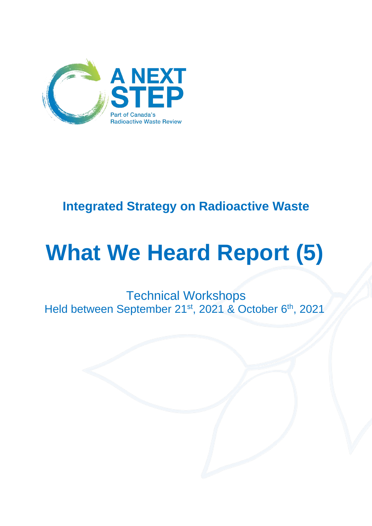

### **Integrated Strategy on Radioactive Waste**

# **What We Heard Report (5)**

Technical Workshops Held between September 21<sup>st</sup>, 2021 & October 6<sup>th</sup>, 2021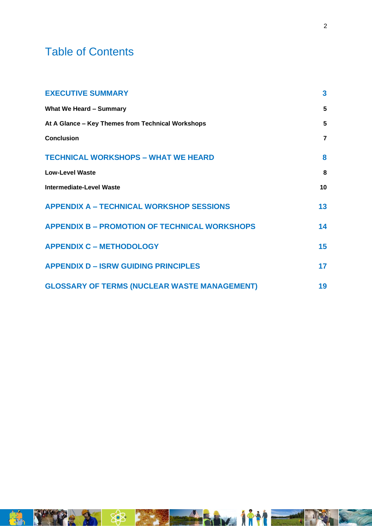### Table of Contents

| <b>EXECUTIVE SUMMARY</b>                             |                |
|------------------------------------------------------|----------------|
| <b>What We Heard - Summary</b>                       | 5              |
| At A Glance - Key Themes from Technical Workshops    | 5              |
| <b>Conclusion</b>                                    | $\overline{7}$ |
| <b>TECHNICAL WORKSHOPS - WHAT WE HEARD</b>           | 8              |
| <b>Low-Level Waste</b>                               | 8              |
| <b>Intermediate-Level Waste</b>                      | 10             |
| <b>APPENDIX A - TECHNICAL WORKSHOP SESSIONS</b>      | 13             |
| <b>APPENDIX B - PROMOTION OF TECHNICAL WORKSHOPS</b> | 14             |
| <b>APPENDIX C - METHODOLOGY</b>                      | 15             |
| <b>APPENDIX D - ISRW GUIDING PRINCIPLES</b>          | 17             |
| <b>GLOSSARY OF TERMS (NUCLEAR WASTE MANAGEMENT)</b>  | 19             |

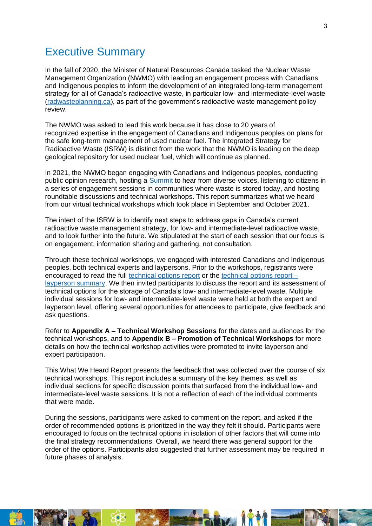### <span id="page-2-0"></span>Executive Summary

In the fall of 2020, the Minister of Natural Resources Canada tasked the Nuclear Waste Management Organization (NWMO) with leading an engagement process with Canadians and Indigenous peoples to inform the development of an integrated long-term management strategy for all of Canada's radioactive waste, in particular low- and intermediate-level waste [\(radwasteplanning.ca\)](https://radwasteplanning.ca/), as part of the government's radioactive waste management policy review.

The NWMO was asked to lead this work because it has close to 20 years of recognized expertise in the engagement of Canadians and Indigenous peoples on plans for the safe long-term management of used nuclear fuel. The Integrated Strategy for Radioactive Waste (ISRW) is distinct from the work that the NWMO is leading on the deep geological repository for used nuclear fuel, which will continue as planned.

In 2021, the NWMO began engaging with Canadians and Indigenous peoples, conducting public opinion research, hosting a [Summit](https://radwasteplanning.ca/engagement-initiatives/canadian-radioactive-waste-summit) to hear from diverse voices, listening to citizens in a series of engagement sessions in communities where waste is stored today, and hosting roundtable discussions and technical workshops. This report summarizes what we heard from our virtual technical workshops which took place in September and October 2021.

The intent of the ISRW is to identify next steps to address gaps in Canada's current radioactive waste management strategy, for low- and intermediate-level radioactive waste, and to look further into the future. We stipulated at the start of each session that our focus is on engagement, information sharing and gathering, not consultation.

Through these technical workshops, we engaged with interested Canadians and Indigenous peoples, both technical experts and laypersons. Prior to the workshops, registrants were encouraged to read the full [technical options report](https://radwasteplanning.ca/sites/default/files/project_report.pdf) or the [technical options report –](https://radwasteplanning.ca/sites/default/files/isrw_report_on_technical_options_layperson_summary_en.pdf) [layperson summary.](https://radwasteplanning.ca/sites/default/files/isrw_report_on_technical_options_layperson_summary_en.pdf) We then invited participants to discuss the report and its assessment of technical options for the storage of Canada's low- and intermediate-level waste. Multiple individual sessions for low- and intermediate-level waste were held at both the expert and layperson level, offering several opportunities for attendees to participate, give feedback and ask questions.

Refer to **Appendix A – Technical Workshop Sessions** for the dates and audiences for the technical workshops, and to **Appendix B – Promotion of Technical Workshops** for more details on how the technical workshop activities were promoted to invite layperson and expert participation.

This What We Heard Report presents the feedback that was collected over the course of six technical workshops. This report includes a summary of the key themes, as well as individual sections for specific discussion points that surfaced from the individual low- and intermediate-level waste sessions. It is not a reflection of each of the individual comments that were made.

During the sessions, participants were asked to comment on the report, and asked if the order of recommended options is prioritized in the way they felt it should. Participants were encouraged to focus on the technical options in isolation of other factors that will come into the final strategy recommendations. Overall, we heard there was general support for the order of the options. Participants also suggested that further assessment may be required in future phases of analysis.

ha i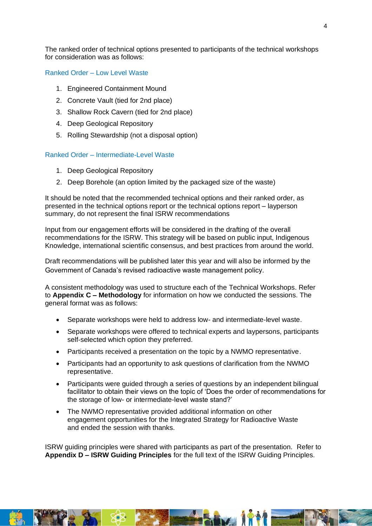The ranked order of technical options presented to participants of the technical workshops for consideration was as follows:

Ranked Order – Low Level Waste

- 1. Engineered Containment Mound
- 2. Concrete Vault (tied for 2nd place)
- 3. Shallow Rock Cavern (tied for 2nd place)
- 4. Deep Geological Repository
- 5. Rolling Stewardship (not a disposal option)

### Ranked Order – Intermediate-Level Waste

- 1. Deep Geological Repository
- 2. Deep Borehole (an option limited by the packaged size of the waste)

It should be noted that the recommended technical options and their ranked order, as presented in the [technical options report](https://radwasteplanning.ca/sites/default/files/project_report.pdf) or the [technical options report –](https://radwasteplanning.ca/sites/default/files/isrw_report_on_technical_options_layperson_summary_en.pdf) layperson [summary,](https://radwasteplanning.ca/sites/default/files/isrw_report_on_technical_options_layperson_summary_en.pdf) do not represent the final ISRW recommendations

Input from our engagement efforts will be considered in the drafting of the overall recommendations for the ISRW. This strategy will be based on public input, Indigenous Knowledge, international scientific consensus, and best practices from around the world.

Draft recommendations will be published later this year and will also be informed by the Government of Canada's revised radioactive waste management policy.

A consistent methodology was used to structure each of the Technical Workshops. Refer to **Appendix C – Methodology** for information on how we conducted the sessions. The general format was as follows:

- Separate workshops were held to address low- and intermediate-level waste.
- Separate workshops were offered to technical experts and laypersons, participants self-selected which option they preferred.
- Participants received a presentation on the topic by a NWMO representative.
- Participants had an opportunity to ask questions of clarification from the NWMO representative.
- Participants were guided through a series of questions by an independent bilingual facilitator to obtain their views on the topic of 'Does the order of recommendations for the storage of low- or intermediate-level waste stand?'
- The NWMO representative provided additional information on other engagement opportunities for the Integrated Strategy for Radioactive Waste and ended the session with thanks.

<span id="page-3-0"></span>ISRW guiding principles were shared with participants as part of the presentation. Refer to **Appendix D – ISRW Guiding Principles** for the full text of the ISRW Guiding Principles.

**Avg. 18**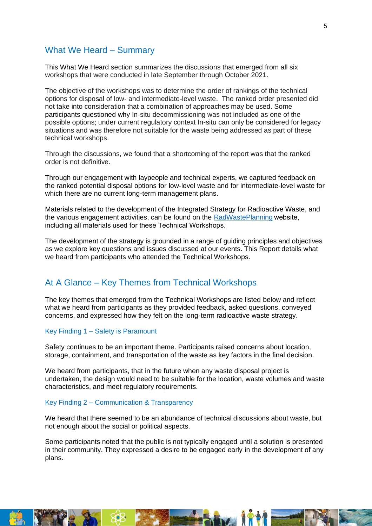### What We Heard – Summary

This What We Heard section summarizes the discussions that emerged from all six workshops that were conducted in late September through October 2021.

The objective of the workshops was to determine the order of rankings of the technical options for disposal of low- and intermediate-level waste. The ranked order presented did not take into consideration that a combination of approaches may be used. Some participants questioned why In-situ decommissioning was not included as one of the possible options; under current regulatory context In-situ can only be considered for legacy situations and was therefore not suitable for the waste being addressed as part of these technical workshops.

Through the discussions, we found that a shortcoming of the report was that the ranked order is not definitive.

Through our engagement with laypeople and technical experts, we captured feedback on the ranked potential disposal options for low-level waste and for intermediate-level waste for which there are no current long-term management plans.

Materials related to the development of the Integrated Strategy for Radioactive Waste, and the various engagement activities, can be found on the [RadWastePlanning](https://radwasteplanning.ca/)website, including all materials used for these Technical Workshops. 

The development of the strategy is grounded in a range of guiding principles and objectives as we explore key questions and issues discussed at our events. This Report details what we heard from participants who attended the Technical Workshops.

### <span id="page-4-0"></span>At A Glance – Key Themes from Technical Workshops

The key themes that emerged from the Technical Workshops are listed below and reflect what we heard from participants as they provided feedback, asked questions, conveyed concerns, and expressed how they felt on the long-term radioactive waste strategy.

### Key Finding 1 – Safety is Paramount

Safety continues to be an important theme. Participants raised concerns about location, storage, containment, and transportation of the waste as key factors in the final decision.

We heard from participants, that in the future when any waste disposal project is undertaken, the design would need to be suitable for the location, waste volumes and waste characteristics, and meet regulatory requirements.

### Key Finding 2 – Communication & Transparency

We heard that there seemed to be an abundance of technical discussions about waste, but not enough about the social or political aspects.

Some participants noted that the public is not typically engaged until a solution is presented in their community. They expressed a desire to be engaged early in the development of any plans.

hz IT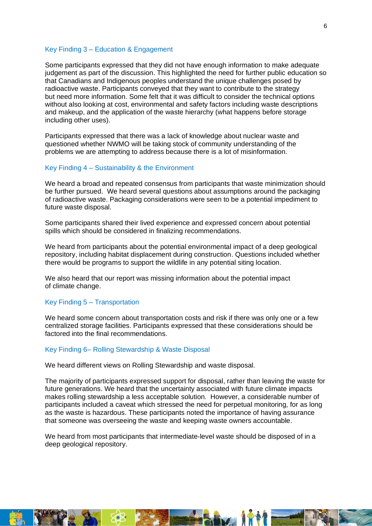#### Key Finding 3 – Education & Engagement

Some participants expressed that they did not have enough information to make adequate judgement as part of the discussion. This highlighted the need for further public education so that Canadians and Indigenous peoples understand the unique challenges posed by radioactive waste. Participants conveyed that they want to contribute to the strategy but need more information. Some felt that it was difficult to consider the technical options without also looking at cost, environmental and safety factors including waste descriptions and makeup, and the application of the waste hierarchy (what happens before storage including other uses).

Participants expressed that there was a lack of knowledge about nuclear waste and questioned whether NWMO will be taking stock of community understanding of the problems we are attempting to address because there is a lot of misinformation.

#### Key Finding 4 – Sustainability & the Environment

We heard a broad and repeated consensus from participants that waste minimization should be further pursued. We heard several questions about assumptions around the packaging of radioactive waste. Packaging considerations were seen to be a potential impediment to future waste disposal.

Some participants shared their lived experience and expressed concern about potential spills which should be considered in finalizing recommendations.

We heard from participants about the potential environmental impact of a deep geological repository, including habitat displacement during construction. Questions included whether there would be programs to support the wildlife in any potential siting location.

We also heard that our report was missing information about the potential impact of climate change.

### Key Finding 5 – Transportation

We heard some concern about transportation costs and risk if there was only one or a few centralized storage facilities. Participants expressed that these considerations should be factored into the final recommendations.

#### Key Finding 6– Rolling Stewardship & Waste Disposal

We heard different views on Rolling Stewardship and waste disposal.

The majority of participants expressed support for disposal, rather than leaving the waste for future generations. We heard that the uncertainty associated with future climate impacts makes rolling stewardship a less acceptable solution. However, a considerable number of participants included a caveat which stressed the need for perpetual monitoring, for as long as the waste is hazardous. These participants noted the importance of having assurance that someone was overseeing the waste and keeping waste owners accountable.

We heard from most participants that intermediate-level waste should be disposed of in a deep geological repository.

## ha iy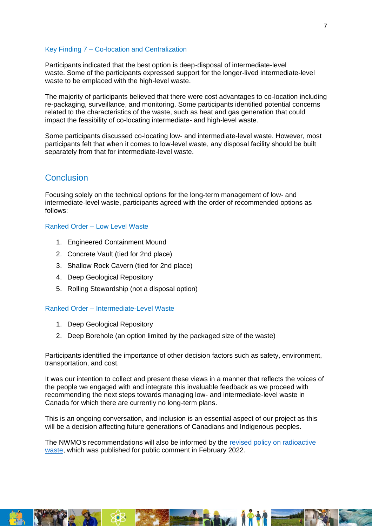### Key Finding 7 – Co-location and Centralization

Participants indicated that the best option is deep-disposal of intermediate-level waste. Some of the participants expressed support for the longer-lived intermediate-level waste to be emplaced with the high-level waste.

The majority of participants believed that there were cost advantages to co-location including re-packaging, surveillance, and monitoring. Some participants identified potential concerns related to the characteristics of the waste, such as heat and gas generation that could impact the feasibility of co-locating intermediate- and high-level waste.

<span id="page-6-0"></span>Some participants discussed co-locating low- and intermediate-level waste. However, most participants felt that when it comes to low-level waste, any disposal facility should be built separately from that for intermediate-level waste.

### **Conclusion**

Focusing solely on the technical options for the long-term management of low- and intermediate-level waste, participants agreed with the order of recommended options as follows:

### Ranked Order – Low Level Waste

- 1. Engineered Containment Mound
- 2. Concrete Vault (tied for 2nd place)
- 3. Shallow Rock Cavern (tied for 2nd place)
- 4. Deep Geological Repository
- 5. Rolling Stewardship (not a disposal option)

### Ranked Order – Intermediate-Level Waste

- 1. Deep Geological Repository
- 2. Deep Borehole (an option limited by the packaged size of the waste)

Participants identified the importance of other decision factors such as safety, environment, transportation, and cost.

It was our intention to collect and present these views in a manner that reflects the voices of the people we engaged with and integrate this invaluable feedback as we proceed with recommending the next steps towards managing low- and intermediate-level waste in Canada for which there are currently no long-term plans.

This is an ongoing conversation, and inclusion is an essential aspect of our project as this will be a decision affecting future generations of Canadians and Indigenous peoples.

The NWMO's recommendations will also be informed by the [revised policy on radioactive](https://www.rncanengagenrcan.ca/sites/default/files/draft_policy_on_radioactive_waste_management_and_decommissioning_-_english_-_jan_26_final.pdf)  [waste,](https://www.rncanengagenrcan.ca/sites/default/files/draft_policy_on_radioactive_waste_management_and_decommissioning_-_english_-_jan_26_final.pdf) which was published for public comment in February 2022.

ha it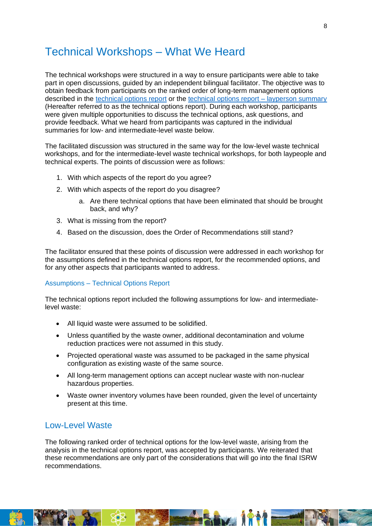### <span id="page-7-0"></span>Technical Workshops – What We Heard

The technical workshops were structured in a way to ensure participants were able to take part in open discussions, guided by an independent bilingual facilitator. The objective was to obtain feedback from participants on the ranked order of long-term management options described in the [technical options report](https://radwasteplanning.ca/sites/default/files/project_report.pdf) or the [technical options report –](https://radwasteplanning.ca/sites/default/files/isrw_report_on_technical_options_layperson_summary_en.pdf) layperson summary (Hereafter referred to as the technical options report). During each workshop, participants were given multiple opportunities to discuss the technical options, ask questions, and provide feedback. What we heard from participants was captured in the individual summaries for low- and intermediate-level waste below.

The facilitated discussion was structured in the same way for the low-level waste technical workshops, and for the intermediate-level waste technical workshops, for both laypeople and technical experts. The points of discussion were as follows:

- 1. With which aspects of the report do you agree?
- 2. With which aspects of the report do you disagree?
	- a. Are there technical options that have been eliminated that should be brought back, and why?
- 3. What is missing from the report?
- 4. Based on the discussion, does the Order of Recommendations still stand?

The facilitator ensured that these points of discussion were addressed in each workshop for the assumptions defined in the technical options report, for the recommended options, and for any other aspects that participants wanted to address.

### Assumptions – Technical Options Report

The technical options report included the following assumptions for low- and intermediatelevel waste:

- All liquid waste were assumed to be solidified.
- Unless quantified by the waste owner, additional decontamination and volume reduction practices were not assumed in this study.
- Projected operational waste was assumed to be packaged in the same physical configuration as existing waste of the same source.
- All long-term management options can accept nuclear waste with non-nuclear hazardous properties.
- Waste owner inventory volumes have been rounded, given the level of uncertainty present at this time.

### <span id="page-7-1"></span>Low-Level Waste

The following ranked order of technical options for the low-level waste, arising from the analysis in the technical options report, was accepted by participants. We reiterated that these recommendations are only part of the considerations that will go into the final ISRW recommendations.

**Fixed N**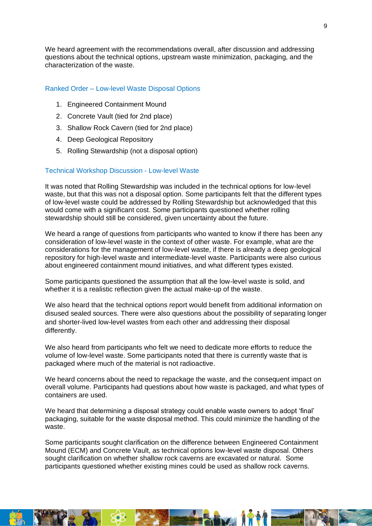We heard agreement with the recommendations overall, after discussion and addressing questions about the technical options, upstream waste minimization, packaging, and the characterization of the waste.

### Ranked Order – Low-level Waste Disposal Options

- 1. Engineered Containment Mound
- 2. Concrete Vault (tied for 2nd place)
- 3. Shallow Rock Cavern (tied for 2nd place)
- 4. Deep Geological Repository
- 5. Rolling Stewardship (not a disposal option)

### Technical Workshop Discussion - Low-level Waste

It was noted that Rolling Stewardship was included in the technical options for low-level waste, but that this was not a disposal option. Some participants felt that the different types of low-level waste could be addressed by Rolling Stewardship but acknowledged that this would come with a significant cost. Some participants questioned whether rolling stewardship should still be considered, given uncertainty about the future.

We heard a range of questions from participants who wanted to know if there has been any consideration of low-level waste in the context of other waste. For example, what are the considerations for the management of low-level waste, if there is already a deep geological repository for high-level waste and intermediate-level waste. Participants were also curious about engineered containment mound initiatives, and what different types existed.

Some participants questioned the assumption that all the low-level waste is solid, and whether it is a realistic reflection given the actual make-up of the waste.

We also heard that the technical options report would benefit from additional information on disused sealed sources. There were also questions about the possibility of separating longer and shorter-lived low-level wastes from each other and addressing their disposal differently.

We also heard from participants who felt we need to dedicate more efforts to reduce the volume of low-level waste. Some participants noted that there is currently waste that is packaged where much of the material is not radioactive.

We heard concerns about the need to repackage the waste, and the consequent impact on overall volume. Participants had questions about how waste is packaged, and what types of containers are used.

We heard that determining a disposal strategy could enable waste owners to adopt 'final' packaging, suitable for the waste disposal method. This could minimize the handling of the waste.

Some participants sought clarification on the difference between Engineered Containment Mound (ECM) and Concrete Vault, as technical options low-level waste disposal. Others sought clarification on whether shallow rock caverns are excavated or natural. Some participants questioned whether existing mines could be used as shallow rock caverns.

im i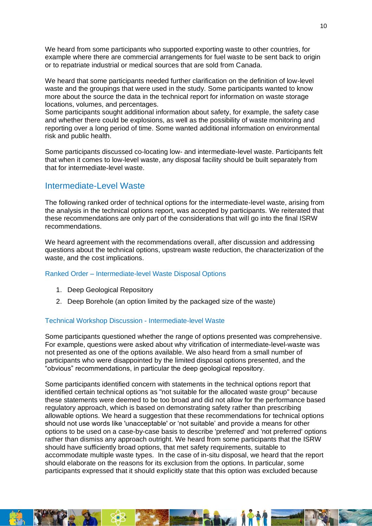We heard from some participants who supported exporting waste to other countries, for example where there are commercial arrangements for fuel waste to be sent back to origin or to repatriate industrial or medical sources that are sold from Canada.

We heard that some participants needed further clarification on the definition of low-level waste and the groupings that were used in the study. Some participants wanted to know more about the source the data in the technical report for information on waste storage locations, volumes, and percentages.

Some participants sought additional information about safety, for example, the safety case and whether there could be explosions, as well as the possibility of waste monitoring and reporting over a long period of time. Some wanted additional information on environmental risk and public health.

Some participants discussed co-locating low- and intermediate-level waste. Participants felt that when it comes to low-level waste, any disposal facility should be built separately from that for intermediate-level waste.

### <span id="page-9-0"></span>Intermediate-Level Waste

The following ranked order of technical options for the intermediate-level waste, arising from the analysis in the technical options report, was accepted by participants. We reiterated that these recommendations are only part of the considerations that will go into the final ISRW recommendations.

We heard agreement with the recommendations overall, after discussion and addressing questions about the technical options, upstream waste reduction, the characterization of the waste, and the cost implications.

### Ranked Order – Intermediate-level Waste Disposal Options

- 1. Deep Geological Repository
- 2. Deep Borehole (an option limited by the packaged size of the waste)

### Technical Workshop Discussion - Intermediate-level Waste

Some participants questioned whether the range of options presented was comprehensive. For example, questions were asked about why vitrification of intermediate-level-waste was not presented as one of the options available. We also heard from a small number of participants who were disappointed by the limited disposal options presented, and the "obvious" recommendations, in particular the deep geological repository.

Some participants identified concern with statements in the technical options report that identified certain technical options as "not suitable for the allocated waste group" because these statements were deemed to be too broad and did not allow for the performance based regulatory approach, which is based on demonstrating safety rather than prescribing allowable options. We heard a suggestion that these recommendations for technical options should not use words like 'unacceptable' or 'not suitable' and provide a means for other options to be used on a case-by-case basis to describe 'preferred' and 'not preferred' options rather than dismiss any approach outright. We heard from some participants that the ISRW should have sufficiently broad options, that met safety requirements, suitable to accommodate multiple waste types. In the case of in-situ disposal, we heard that the report should elaborate on the reasons for its exclusion from the options. In particular, some participants expressed that it should explicitly state that this option was excluded because

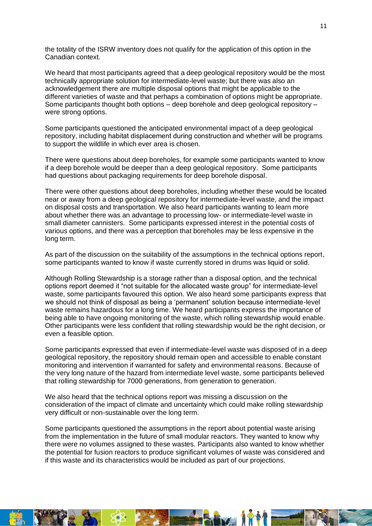the totality of the ISRW inventory does not qualify for the application of this option in the Canadian context.

We heard that most participants agreed that a deep geological repository would be the most technically appropriate solution for intermediate-level waste; but there was also an acknowledgement there are multiple disposal options that might be applicable to the different varieties of waste and that perhaps a combination of options might be appropriate. Some participants thought both options – deep borehole and deep geological repository – were strong options.

Some participants questioned the anticipated environmental impact of a deep geological repository, including habitat displacement during construction and whether will be programs to support the wildlife in which ever area is chosen.

There were questions about deep boreholes, for example some participants wanted to know if a deep borehole would be deeper than a deep geological repository. Some participants had questions about packaging requirements for deep borehole disposal.

There were other questions about deep boreholes, including whether these would be located near or away from a deep geological repository for intermediate-level waste, and the impact on disposal costs and transportation. We also heard participants wanting to learn more about whether there was an advantage to processing low- or intermediate-level waste in small diameter cannisters. Some participants expressed interest in the potential costs of various options, and there was a perception that boreholes may be less expensive in the long term.

As part of the discussion on the suitability of the assumptions in the technical options report, some participants wanted to know if waste currently stored in drums was liquid or solid.

Although Rolling Stewardship is a storage rather than a disposal option, and the technical options report deemed it "not suitable for the allocated waste group" for intermediate-level waste, some participants favoured this option. We also heard some participants express that we should not think of disposal as being a 'permanent' solution because intermediate-level waste remains hazardous for a long time. We heard participants express the importance of being able to have ongoing monitoring of the waste, which rolling stewardship would enable. Other participants were less confident that rolling stewardship would be the right decision, or even a feasible option.

Some participants expressed that even if intermediate-level waste was disposed of in a deep geological repository, the repository should remain open and accessible to enable constant monitoring and intervention if warranted for safety and environmental reasons. Because of the very long nature of the hazard from intermediate level waste, some participants believed that rolling stewardship for 7000 generations, from generation to generation.

We also heard that the technical options report was missing a discussion on the consideration of the impact of climate and uncertainty which could make rolling stewardship very difficult or non-sustainable over the long term.

Some participants questioned the assumptions in the report about potential waste arising from the implementation in the future of small modular reactors. They wanted to know why there were no volumes assigned to these wastes. Participants also wanted to know whether the potential for fusion reactors to produce significant volumes of waste was considered and if this waste and its characteristics would be included as part of our projections.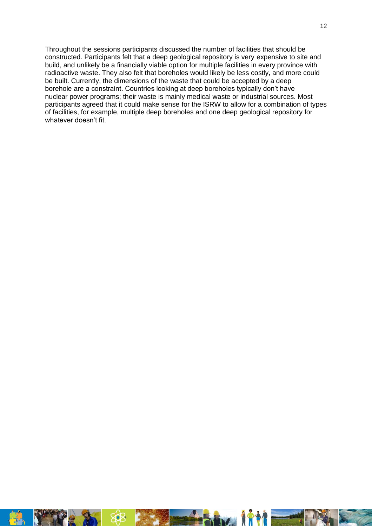Throughout the sessions participants discussed the number of facilities that should be constructed. Participants felt that a deep geological repository is very expensive to site and build, and unlikely be a financially viable option for multiple facilities in every province with radioactive waste. They also felt that boreholes would likely be less costly, and more could be built. Currently, the dimensions of the waste that could be accepted by a deep borehole are a constraint. Countries looking at deep boreholes typically don't have nuclear power programs; their waste is mainly medical waste or industrial sources. Most participants agreed that it could make sense for the ISRW to allow for a combination of types of facilities, for example, multiple deep boreholes and one deep geological repository for whatever doesn't fit.

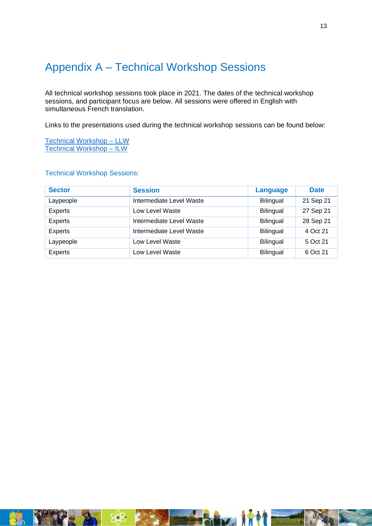### <span id="page-12-0"></span>Appendix A – Technical Workshop Sessions

All technical workshop sessions took place in 2021. The dates of the technical workshop sessions, and participant focus are below. All sessions were offered in English with simultaneous French translation.

Links to the presentations used during the technical workshop sessions can be found below:

[Technical Workshop –](https://radwasteplanning.ca/sites/default/files/presentation_tw_llw_en_27sep2021.pdf) LLW [Technical Workshop –](https://radwasteplanning.ca/sites/default/files/presentation_tw_ilw_en_28sep2021.pdf) ILW

### Technical Workshop Sessions:

<span id="page-12-1"></span>

| <b>Sector</b> | <b>Session</b>           | <b>Language</b>  | <b>Date</b> |
|---------------|--------------------------|------------------|-------------|
| Laypeople     | Intermediate Level Waste | Bilingual        | 21 Sep 21   |
| Experts       | Low Level Waste          | <b>Bilingual</b> | 27 Sep 21   |
| Experts       | Intermediate Level Waste | <b>Bilingual</b> | 28 Sep 21   |
| Experts       | Intermediate Level Waste | Bilingual        | 4 Oct 21    |
| Laypeople     | Low Level Waste          | <b>Bilingual</b> | 5 Oct 21    |
| Experts       | Low Level Waste          | Bilingual        | 6 Oct 21    |

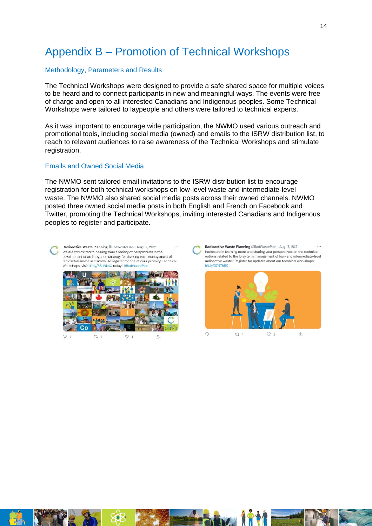### Appendix B – Promotion of Technical Workshops

#### Methodology, Parameters and Results

The Technical Workshops were designed to provide a safe shared space for multiple voices to be heard and to connect participants in new and meaningful ways. The events were free of charge and open to all interested Canadians and Indigenous peoples. Some Technical Workshops were tailored to laypeople and others were tailored to technical experts.

As it was important to encourage wide participation, the NWMO used various outreach and promotional tools, including social media (owned) and emails to the ISRW distribution list, to reach to relevant audiences to raise awareness of the Technical Workshops and stimulate registration.

#### Emails and Owned Social Media

The NWMO sent tailored email invitations to the ISRW distribution list to encourage registration for both technical workshops on low-level waste and intermediate-level waste. The NWMO also shared social media posts across their owned channels. NWMO posted three owned social media posts in both English and French on Facebook and Twitter, promoting the Technical Workshops, inviting interested Canadians and Indigenous peoples to register and participate.

Radioactive Waste Planning @RadWastePlan · Aug 31, 2021 We are committed to hearing from a variety of perspectives in the development of an integrated strategy for the long-term management of radioactive waste in Canada. To register for one of our upcoming Technical Workshops, visit hit Iv/38uNkuC today! #RadWastePlar



<span id="page-13-0"></span> $Q_1$  $17<sup>1</sup>$  $O<sub>1</sub>$ 凸 Radioactive Waste Planning @RadWastePlan · Aug 17, 2021 Interested in learning more and sharing your perspectives on the technical options related to the long-term management of low- and intermediate-level radioactive waste? Register for updates about our technical workshops: bit.lv/37NTh5C



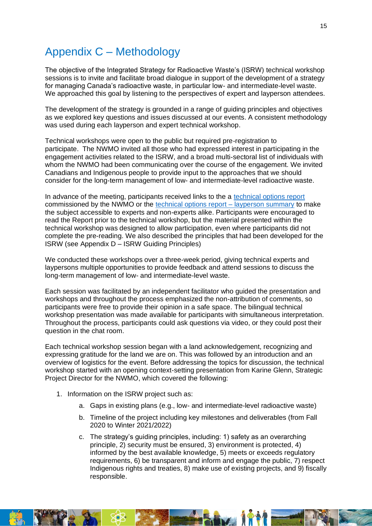### Appendix C – Methodology

The objective of the Integrated Strategy for Radioactive Waste's (ISRW) technical workshop sessions is to invite and facilitate broad dialogue in support of the development of a strategy for managing Canada's radioactive waste, in particular low- and intermediate-level waste. We approached this goal by listening to the perspectives of expert and layperson attendees.

The development of the strategy is grounded in a range of guiding principles and objectives as we explored key questions and issues discussed at our events. A consistent methodology was used during each layperson and expert technical workshop.

Technical workshops were open to the public but required pre-registration to participate. The NWMO invited all those who had expressed interest in participating in the engagement activities related to the ISRW, and a broad multi-sectoral list of individuals with whom the NWMO had been communicating over the course of the engagement. We invited Canadians and Indigenous people to provide input to the approaches that we should consider for the long-term management of low- and intermediate-level radioactive waste.

In advance of the meeting, participants received links to the a [technical options report](https://radwasteplanning.ca/sites/default/files/project_report.pdf) commissioned by the NWMO or the [technical options report –](https://radwasteplanning.ca/sites/default/files/isrw_report_on_technical_options_layperson_summary_en.pdf) layperson summary to make the subject accessible to experts and non-experts alike. Participants were encouraged to read the Report prior to the technical workshop, but the material presented within the technical workshop was designed to allow participation, even where participants did not complete the pre-reading. We also described the principles that had been developed for the ISRW (see Appendix D – ISRW Guiding Principles)

We conducted these workshops over a three-week period, giving technical experts and laypersons multiple opportunities to provide feedback and attend sessions to discuss the long-term management of low- and intermediate-level waste.

Each session was facilitated by an independent facilitator who guided the presentation and workshops and throughout the process emphasized the non-attribution of comments, so participants were free to provide their opinion in a safe space. The bilingual technical workshop presentation was made available for participants with simultaneous interpretation. Throughout the process, participants could ask questions via video, or they could post their question in the chat room.

Each technical workshop session began with a land acknowledgement, recognizing and expressing gratitude for the land we are on. This was followed by an introduction and an overview of logistics for the event. Before addressing the topics for discussion, the technical workshop started with an opening context-setting presentation from Karine Glenn, Strategic Project Director for the NWMO, which covered the following:

- 1. Information on the ISRW project such as:
	- a. Gaps in existing plans (e.g., low- and intermediate-level radioactive waste)
	- b. Timeline of the project including key milestones and deliverables (from Fall 2020 to Winter 2021/2022)
	- c. The strategy's guiding principles, including: 1) safety as an overarching principle, 2) security must be ensured, 3) environment is protected, 4) informed by the best available knowledge, 5) meets or exceeds regulatory requirements, 6) be transparent and inform and engage the public, 7) respect Indigenous rights and treaties, 8) make use of existing projects, and 9) fiscally responsible.

ha N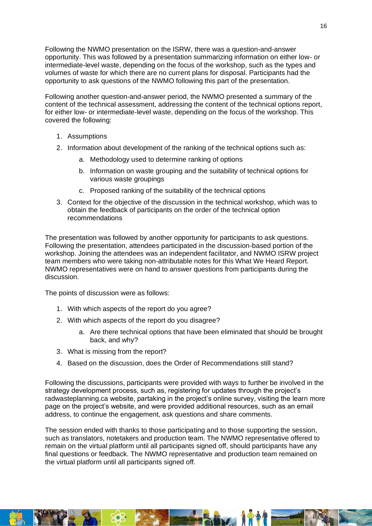Following the NWMO presentation on the ISRW, there was a question-and-answer opportunity. This was followed by a presentation summarizing information on either low- or intermediate-level waste, depending on the focus of the workshop, such as the types and volumes of waste for which there are no current plans for disposal. Participants had the opportunity to ask questions of the NWMO following this part of the presentation.

Following another question-and-answer period, the NWMO presented a summary of the content of the technical assessment, addressing the content of the technical options report, for either low- or intermediate-level waste, depending on the focus of the workshop. This covered the following:

- 1. Assumptions
- 2. Information about development of the ranking of the technical options such as:
	- a. Methodology used to determine ranking of options
	- b. Information on waste grouping and the suitability of technical options for various waste groupings
	- c. Proposed ranking of the suitability of the technical options
- 3. Context for the objective of the discussion in the technical workshop, which was to obtain the feedback of participants on the order of the technical option recommendations

The presentation was followed by another opportunity for participants to ask questions. Following the presentation, attendees participated in the discussion-based portion of the workshop. Joining the attendees was an independent facilitator, and NWMO ISRW project team members who were taking non-attributable notes for this What We Heard Report. NWMO representatives were on hand to answer questions from participants during the discussion.

The points of discussion were as follows:

- 1. With which aspects of the report do you agree?
- 2. With which aspects of the report do you disagree?
	- a. Are there technical options that have been eliminated that should be brought back, and why?
- 3. What is missing from the report?
- 4. Based on the discussion, does the Order of Recommendations still stand?

Following the discussions, participants were provided with ways to further be involved in the strategy development process, such as, registering for updates through the project's [radwasteplanning.ca](https://radwasteplanning.ca/) website, partaking in the project's online survey, visiting the [learn more](https://radwasteplanning.ca/content/learn-more)  [page](https://radwasteplanning.ca/content/learn-more) on the project's website, and were provided additional resources, such as an email address, to continue the engagement, ask questions and share comments.

The session ended with thanks to those participating and to those supporting the session, such as translators, notetakers and production team. The NWMO representative offered to remain on the virtual platform until all participants signed off, should participants have any final questions or feedback. The NWMO representative and production team remained on the virtual platform until all participants signed off.

<span id="page-15-0"></span>TO T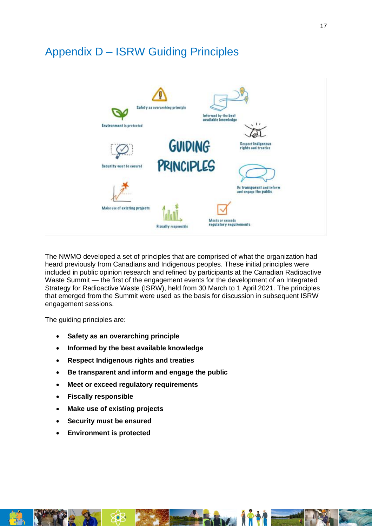### Appendix D – ISRW Guiding Principles



The NWMO developed a set of principles that are comprised of what the organization had heard previously from Canadians and Indigenous peoples. These initial principles were included in public opinion research and refined by participants at the Canadian Radioactive Waste Summit — the first of the engagement events for the development of an Integrated Strategy for Radioactive Waste (ISRW), held from 30 March to 1 April 2021. The principles that emerged from the Summit were used as the basis for discussion in subsequent ISRW engagement sessions.

The guiding principles are:

- **Safety as an overarching principle**
- **Informed by the best available knowledge**
- **Respect Indigenous rights and treaties**
- **Be transparent and inform and engage the public**
- **Meet or exceed regulatory requirements**
- **Fiscally responsible**
- **Make use of existing projects**
- **Security must be ensured**
- **Environment is protected**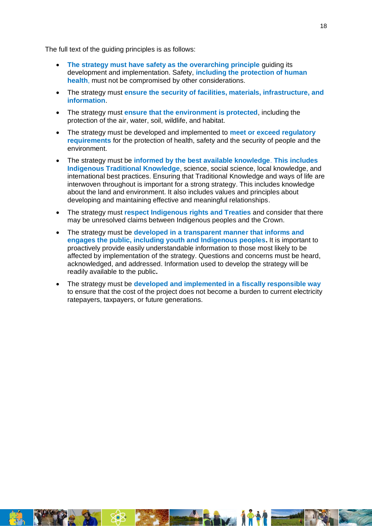The full text of the guiding principles is as follows:

- **The strategy must have safety as the overarching principle** guiding its development and implementation. Safety, **including the protection of human health**, must not be compromised by other considerations.
- The strategy must **ensure the security of facilities, materials, infrastructure, and information**.
- The strategy must **ensure that the environment is protected**, including the protection of the air, water, soil, wildlife, and habitat.
- The strategy must be developed and implemented to **meet or exceed regulatory requirements** for the protection of health, safety and the security of people and the environment.
- The strategy must be **informed by the best available knowledge**. **This includes Indigenous Traditional Knowledge**, science, social science, local knowledge, and international best practices. Ensuring that Traditional Knowledge and ways of life are interwoven throughout is important for a strong strategy. This includes knowledge about the land and environment. It also includes values and principles about developing and maintaining effective and meaningful relationships.
- The strategy must **respect Indigenous rights and Treaties** and consider that there may be unresolved claims between Indigenous peoples and the Crown.
- The strategy must be **developed in a transparent manner that informs and engages the public, including youth and Indigenous peoples.** It is important to proactively provide easily understandable information to those most likely to be affected by implementation of the strategy. Questions and concerns must be heard, acknowledged, and addressed. Information used to develop the strategy will be readily available to the public**.**
- <span id="page-17-0"></span>• The strategy must be **developed and implemented in a fiscally responsible way** to ensure that the cost of the project does not become a burden to current electricity ratepayers, taxpayers, or future generations.



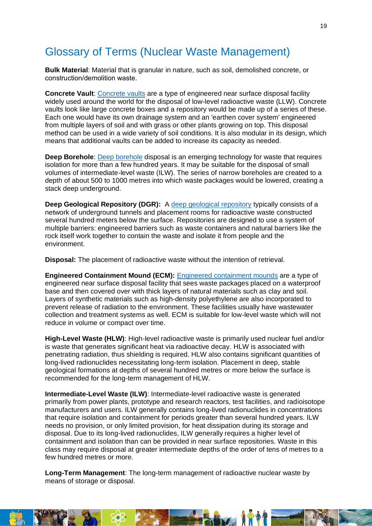### Glossary of Terms (Nuclear Waste Management)

**Bulk Material**: Material that is granular in nature, such as soil, demolished concrete, or construction/demolition waste. 

**Concrete Vault**[: Concrete vaults](https://radwasteplanning.ca/sites/default/files/concrete_vault_final_2021-03-23_0.pdf) are a type of engineered near surface disposal facility widely used around the world for the disposal of low-level radioactive waste (LLW). Concrete vaults look like large concrete boxes and a repository would be made up of a series of these. Each one would have its own drainage system and an 'earthen cover system' engineered from multiple layers of soil and with grass or other plants growing on top. This disposal method can be used in a wide variety of soil conditions. It is also modular in its design, which means that additional vaults can be added to increase its capacity as needed.

**Deep Borehole**[: Deep borehole](https://radwasteplanning.ca/sites/default/files/deep_borehole_final_2021-03-23.pdf) disposal is an emerging technology for waste that requires isolation for more than a few hundred years. It may be suitable for the disposal of small volumes of intermediate-level waste (ILW). The series of narrow boreholes are created to a depth of about 500 to 1000 metres into which waste packages would be lowered, creating a stack deep underground.

**Deep Geological Repository (DGR):** A [deep geological repository](https://radwasteplanning.ca/sites/default/files/deep_geologic_repository_final_2021-03-23.pdf) typically consists of a network of underground tunnels and placement rooms for radioactive waste constructed several hundred meters below the surface. Repositories are designed to use a system of multiple barriers: engineered barriers such as waste containers and natural barriers like the rock itself work together to contain the waste and isolate it from people and the environment.

**Disposal:** The placement of radioactive waste without the intention of retrieval.

**Engineered Containment Mound (ECM):** [Engineered containment mounds](https://radwasteplanning.ca/sites/default/files/engineered_containment_mound_final_2021-03-23.pdf) are a type of engineered near surface disposal facility that sees waste packages placed on a waterproof base and then covered over with thick layers of natural materials such as clay and soil. Layers of synthetic materials such as high-density polyethylene are also incorporated to prevent release of radiation to the environment. These facilities usually have wastewater collection and treatment systems as well. ECM is suitable for low-level waste which will not reduce in volume or compact over time.

**High-Level Waste (HLW)**: High-level radioactive waste is primarily used nuclear fuel and/or is waste that generates significant heat via radioactive decay. HLW is associated with penetrating radiation, thus shielding is required. HLW also contains significant quantities of long-lived radionuclides necessitating long-term isolation. Placement in deep, stable geological formations at depths of several hundred metres or more below the surface is recommended for the long-term management of HLW.

**Intermediate-Level Waste (ILW)**: Intermediate-level radioactive waste is generated primarily from power plants, prototype and research reactors, test facilities, and radioisotope manufacturers and users. ILW generally contains long-lived radionuclides in concentrations that require isolation and containment for periods greater than several hundred years. ILW needs no provision, or only limited provision, for heat dissipation during its storage and disposal. Due to its long-lived radionuclides, ILW generally requires a higher level of containment and isolation than can be provided in near surface repositories. Waste in this class may require disposal at greater intermediate depths of the order of tens of metres to a few hundred metres or more.

**Long-Term Management**: The long-term management of radioactive nuclear waste by means of storage or disposal.

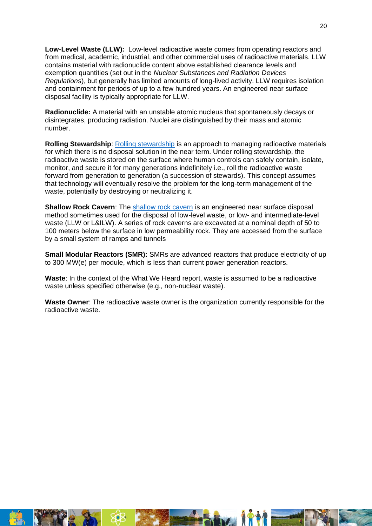**Low-Level Waste (LLW):** Low-level radioactive waste comes from operating reactors and from medical, academic, industrial, and other commercial uses of radioactive materials. LLW contains material with radionuclide content above established clearance levels and exemption quantities (set out in the *Nuclear Substances and Radiation Devices Regulations*), but generally has limited amounts of long-lived activity. LLW requires isolation and containment for periods of up to a few hundred years. An engineered near surface disposal facility is typically appropriate for LLW.

**Radionuclide:** A material with an unstable atomic nucleus that spontaneously decays or disintegrates, producing radiation. Nuclei are distinguished by their mass and atomic number.

**Rolling Stewardship**: [Rolling stewardship](https://radwasteplanning.ca/sites/default/files/rolling_stewardship_final_2021-03-23.pdf) is an approach to managing radioactive materials for which there is no disposal solution in the near term. Under rolling stewardship, the radioactive waste is stored on the surface where human controls can safely contain, isolate, monitor, and secure it for many generations indefinitely i.e., roll the radioactive waste forward from generation to generation (a succession of stewards). This concept assumes that technology will eventually resolve the problem for the long-term management of the waste, potentially by destroying or neutralizing it.

**Shallow Rock Cavern:** The [shallow rock cavern](https://radwasteplanning.ca/sites/default/files/shallow_rock_cavern_final_2021-03-23.pdf) is an engineered near surface disposal method sometimes used for the disposal of low-level waste, or low- and intermediate-level waste (LLW or L&ILW). A series of rock caverns are excavated at a nominal depth of 50 to 100 meters below the surface in low permeability rock. They are accessed from the surface by a small system of ramps and tunnels

**Small Modular Reactors (SMR):** SMRs are advanced reactors that produce electricity of up to 300 MW(e) per module, which is less than current power generation reactors.

**Waste**: In the context of the What We Heard report, waste is assumed to be a radioactive waste unless specified otherwise (e.g., non-nuclear waste).

**Waste Owner**: The radioactive waste owner is the organization currently responsible for the radioactive waste.